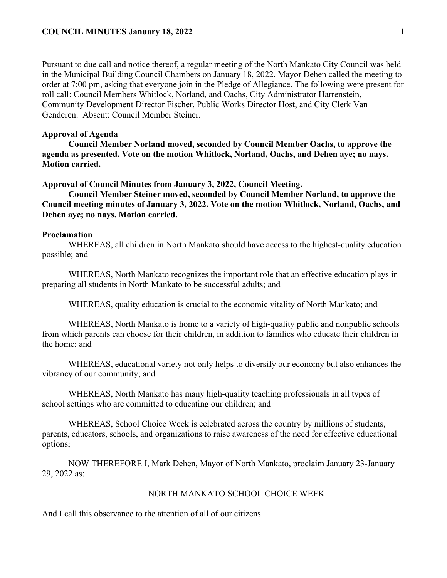## **COUNCIL MINUTES January 18, 2022** 1

Pursuant to due call and notice thereof, a regular meeting of the North Mankato City Council was held in the Municipal Building Council Chambers on January 18, 2022. Mayor Dehen called the meeting to order at 7:00 pm, asking that everyone join in the Pledge of Allegiance. The following were present for roll call: Council Members Whitlock, Norland, and Oachs, City Administrator Harrenstein, Community Development Director Fischer, Public Works Director Host, and City Clerk Van Genderen. Absent: Council Member Steiner.

# **Approval of Agenda**

**Council Member Norland moved, seconded by Council Member Oachs, to approve the agenda as presented. Vote on the motion Whitlock, Norland, Oachs, and Dehen aye; no nays. Motion carried.** 

#### **Approval of Council Minutes from January 3, 2022, Council Meeting.**

**Council Member Steiner moved, seconded by Council Member Norland, to approve the Council meeting minutes of January 3, 2022. Vote on the motion Whitlock, Norland, Oachs, and Dehen aye; no nays. Motion carried.** 

#### **Proclamation**

WHEREAS, all children in North Mankato should have access to the highest-quality education possible; and

WHEREAS, North Mankato recognizes the important role that an effective education plays in preparing all students in North Mankato to be successful adults; and

WHEREAS, quality education is crucial to the economic vitality of North Mankato; and

WHEREAS, North Mankato is home to a variety of high-quality public and nonpublic schools from which parents can choose for their children, in addition to families who educate their children in the home; and

WHEREAS, educational variety not only helps to diversify our economy but also enhances the vibrancy of our community; and

WHEREAS, North Mankato has many high-quality teaching professionals in all types of school settings who are committed to educating our children; and

WHEREAS, School Choice Week is celebrated across the country by millions of students, parents, educators, schools, and organizations to raise awareness of the need for effective educational options;

NOW THEREFORE I, Mark Dehen, Mayor of North Mankato, proclaim January 23-January 29, 2022 as:

# NORTH MANKATO SCHOOL CHOICE WEEK

And I call this observance to the attention of all of our citizens.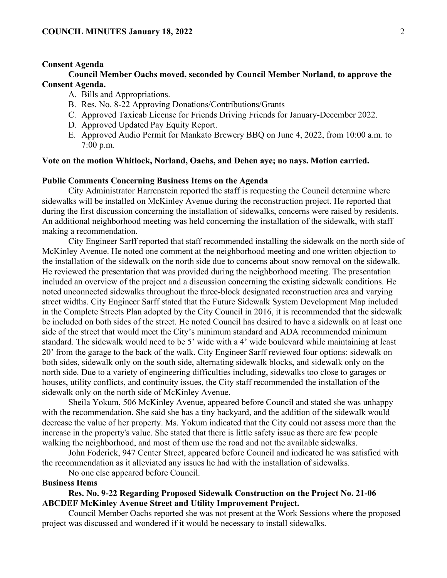## **Consent Agenda**

# **Council Member Oachs moved, seconded by Council Member Norland, to approve the Consent Agenda.**

- A. Bills and Appropriations.
- B. Res. No. 8-22 Approving Donations/Contributions/Grants
- C. Approved Taxicab License for Friends Driving Friends for January-December 2022.
- D. Approved Updated Pay Equity Report.
- E. Approved Audio Permit for Mankato Brewery BBQ on June 4, 2022, from 10:00 a.m. to 7:00 p.m.

# **Vote on the motion Whitlock, Norland, Oachs, and Dehen aye; no nays. Motion carried.**

### **Public Comments Concerning Business Items on the Agenda**

City Administrator Harrenstein reported the staff is requesting the Council determine where sidewalks will be installed on McKinley Avenue during the reconstruction project. He reported that during the first discussion concerning the installation of sidewalks, concerns were raised by residents. An additional neighborhood meeting was held concerning the installation of the sidewalk, with staff making a recommendation.

City Engineer Sarff reported that staff recommended installing the sidewalk on the north side of McKinley Avenue. He noted one comment at the neighborhood meeting and one written objection to the installation of the sidewalk on the north side due to concerns about snow removal on the sidewalk. He reviewed the presentation that was provided during the neighborhood meeting. The presentation included an overview of the project and a discussion concerning the existing sidewalk conditions. He noted unconnected sidewalks throughout the three-block designated reconstruction area and varying street widths. City Engineer Sarff stated that the Future Sidewalk System Development Map included in the Complete Streets Plan adopted by the City Council in 2016, it is recommended that the sidewalk be included on both sides of the street. He noted Council has desired to have a sidewalk on at least one side of the street that would meet the City's minimum standard and ADA recommended minimum standard. The sidewalk would need to be 5' wide with a 4' wide boulevard while maintaining at least 20' from the garage to the back of the walk. City Engineer Sarff reviewed four options: sidewalk on both sides, sidewalk only on the south side, alternating sidewalk blocks, and sidewalk only on the north side. Due to a variety of engineering difficulties including, sidewalks too close to garages or houses, utility conflicts, and continuity issues, the City staff recommended the installation of the sidewalk only on the north side of McKinley Avenue.

Sheila Yokum, 506 McKinley Avenue, appeared before Council and stated she was unhappy with the recommendation. She said she has a tiny backyard, and the addition of the sidewalk would decrease the value of her property. Ms. Yokum indicated that the City could not assess more than the increase in the property's value. She stated that there is little safety issue as there are few people walking the neighborhood, and most of them use the road and not the available sidewalks.

John Foderick, 947 Center Street, appeared before Council and indicated he was satisfied with the recommendation as it alleviated any issues he had with the installation of sidewalks.

No one else appeared before Council.

# **Business Items**

# **Res. No. 9-22 Regarding Proposed Sidewalk Construction on the Project No. 21-06 ABCDEF McKinley Avenue Street and Utility Improvement Project.**

Council Member Oachs reported she was not present at the Work Sessions where the proposed project was discussed and wondered if it would be necessary to install sidewalks.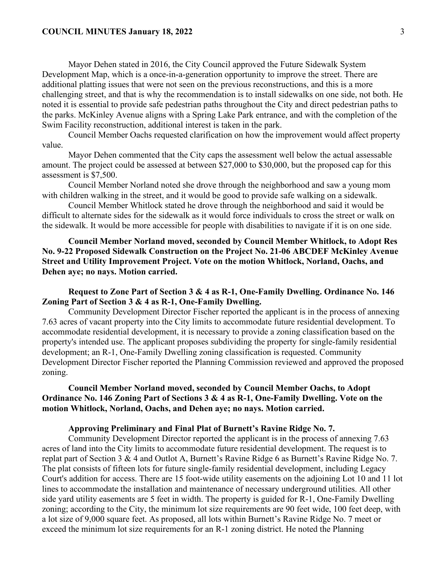Mayor Dehen stated in 2016, the City Council approved the Future Sidewalk System Development Map, which is a once-in-a-generation opportunity to improve the street. There are additional platting issues that were not seen on the previous reconstructions, and this is a more challenging street, and that is why the recommendation is to install sidewalks on one side, not both. He noted it is essential to provide safe pedestrian paths throughout the City and direct pedestrian paths to the parks. McKinley Avenue aligns with a Spring Lake Park entrance, and with the completion of the Swim Facility reconstruction, additional interest is taken in the park.

Council Member Oachs requested clarification on how the improvement would affect property value.

Mayor Dehen commented that the City caps the assessment well below the actual assessable amount. The project could be assessed at between \$27,000 to \$30,000, but the proposed cap for this assessment is \$7,500.

Council Member Norland noted she drove through the neighborhood and saw a young mom with children walking in the street, and it would be good to provide safe walking on a sidewalk.

Council Member Whitlock stated he drove through the neighborhood and said it would be difficult to alternate sides for the sidewalk as it would force individuals to cross the street or walk on the sidewalk. It would be more accessible for people with disabilities to navigate if it is on one side.

**Council Member Norland moved, seconded by Council Member Whitlock, to Adopt Res No. 9-22 Proposed Sidewalk Construction on the Project No. 21-06 ABCDEF McKinley Avenue Street and Utility Improvement Project. Vote on the motion Whitlock, Norland, Oachs, and Dehen aye; no nays. Motion carried.** 

**Request to Zone Part of Section 3 & 4 as R-1, One-Family Dwelling. Ordinance No. 146 Zoning Part of Section 3 & 4 as R-1, One-Family Dwelling.**

Community Development Director Fischer reported the applicant is in the process of annexing 7.63 acres of vacant property into the City limits to accommodate future residential development. To accommodate residential development, it is necessary to provide a zoning classification based on the property's intended use. The applicant proposes subdividing the property for single-family residential development; an R-1, One-Family Dwelling zoning classification is requested. Community Development Director Fischer reported the Planning Commission reviewed and approved the proposed zoning.

**Council Member Norland moved, seconded by Council Member Oachs, to Adopt Ordinance No. 146 Zoning Part of Sections 3 & 4 as R-1, One-Family Dwelling. Vote on the motion Whitlock, Norland, Oachs, and Dehen aye; no nays. Motion carried.** 

**Approving Preliminary and Final Plat of Burnett's Ravine Ridge No. 7.**

Community Development Director reported the applicant is in the process of annexing 7.63 acres of land into the City limits to accommodate future residential development. The request is to replat part of Section 3 & 4 and Outlot A, Burnett's Ravine Ridge 6 as Burnett's Ravine Ridge No. 7. The plat consists of fifteen lots for future single-family residential development, including Legacy Court's addition for access. There are 15 foot-wide utility easements on the adjoining Lot 10 and 11 lot lines to accommodate the installation and maintenance of necessary underground utilities. All other side yard utility easements are 5 feet in width. The property is guided for R-1, One-Family Dwelling zoning; according to the City, the minimum lot size requirements are 90 feet wide, 100 feet deep, with a lot size of 9,000 square feet. As proposed, all lots within Burnett's Ravine Ridge No. 7 meet or exceed the minimum lot size requirements for an R-1 zoning district. He noted the Planning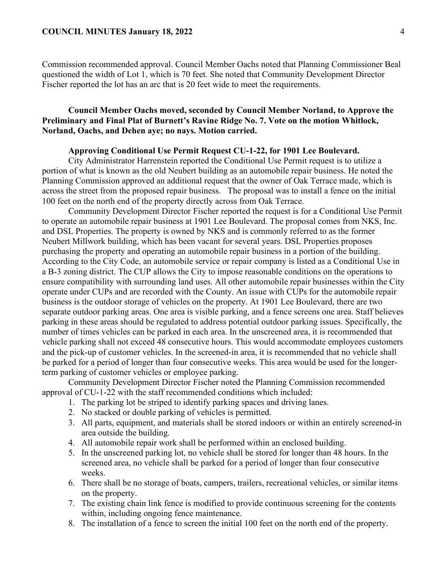Commission recommended approval. Council Member Oachs noted that Planning Commissioner Beal questioned the width of Lot 1, which is 70 feet. She noted that Community Development Director Fischer reported the lot has an arc that is 20 feet wide to meet the requirements.

# **Council Member Oachs moved, seconded by Council Member Norland, to Approve the Preliminary and Final Plat of Burnett's Ravine Ridge No. 7. Vote on the motion Whitlock, Norland, Oachs, and Dehen aye; no nays. Motion carried.**

## **Approving Conditional Use Permit Request CU-1-22, for 1901 Lee Boulevard.**

City Administrator Harrenstein reported the Conditional Use Permit request is to utilize a portion of what is known as the old Neubert building as an automobile repair business. He noted the Planning Commission approved an additional request that the owner of Oak Terrace made, which is across the street from the proposed repair business. The proposal was to install a fence on the initial 100 feet on the north end of the property directly across from Oak Terrace.

Community Development Director Fischer reported the request is for a Conditional Use Permit to operate an automobile repair business at 1901 Lee Boulevard. The proposal comes from NKS, Inc. and DSL Properties. The property is owned by NKS and is commonly referred to as the former Neubert Millwork building, which has been vacant for several years. DSL Properties proposes purchasing the property and operating an automobile repair business in a portion of the building. According to the City Code, an automobile service or repair company is listed as a Conditional Use in a B-3 zoning district. The CUP allows the City to impose reasonable conditions on the operations to ensure compatibility with surrounding land uses. All other automobile repair businesses within the City operate under CUPs and are recorded with the County. An issue with CUPs for the automobile repair business is the outdoor storage of vehicles on the property. At 1901 Lee Boulevard, there are two separate outdoor parking areas. One area is visible parking, and a fence screens one area. Staff believes parking in these areas should be regulated to address potential outdoor parking issues. Specifically, the number of times vehicles can be parked in each area. In the unscreened area, it is recommended that vehicle parking shall not exceed 48 consecutive hours. This would accommodate employees customers and the pick-up of customer vehicles. In the screened-in area, it is recommended that no vehicle shall be parked for a period of longer than four consecutive weeks. This area would be used for the longerterm parking of customer vehicles or employee parking.

Community Development Director Fischer noted the Planning Commission recommended approval of CU-1-22 with the staff recommended conditions which included:

- 1. The parking lot be striped to identify parking spaces and driving lanes.
- 2. No stacked or double parking of vehicles is permitted.
- 3. All parts, equipment, and materials shall be stored indoors or within an entirely screened-in area outside the building.
- 4. All automobile repair work shall be performed within an enclosed building.
- 5. In the unscreened parking lot, no vehicle shall be stored for longer than 48 hours. In the screened area, no vehicle shall be parked for a period of longer than four consecutive weeks.
- 6. There shall be no storage of boats, campers, trailers, recreational vehicles, or similar items on the property.
- 7. The existing chain link fence is modified to provide continuous screening for the contents within, including ongoing fence maintenance.
- 8. The installation of a fence to screen the initial 100 feet on the north end of the property.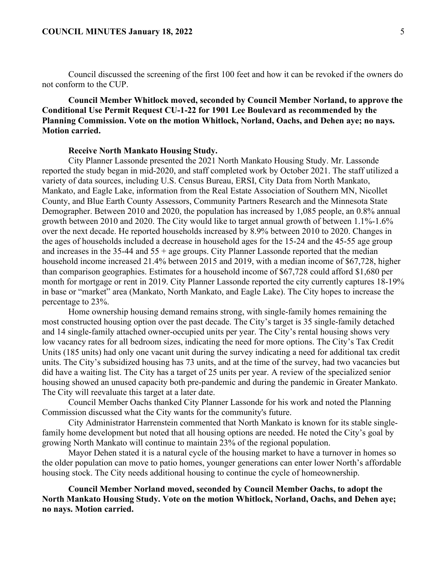Council discussed the screening of the first 100 feet and how it can be revoked if the owners do not conform to the CUP.

# **Council Member Whitlock moved, seconded by Council Member Norland, to approve the Conditional Use Permit Request CU-1-22 for 1901 Lee Boulevard as recommended by the Planning Commission. Vote on the motion Whitlock, Norland, Oachs, and Dehen aye; no nays. Motion carried.**

#### **Receive North Mankato Housing Study.**

City Planner Lassonde presented the 2021 North Mankato Housing Study. Mr. Lassonde reported the study began in mid-2020, and staff completed work by October 2021. The staff utilized a variety of data sources, including U.S. Census Bureau, ERSI, City Data from North Mankato, Mankato, and Eagle Lake, information from the Real Estate Association of Southern MN, Nicollet County, and Blue Earth County Assessors, Community Partners Research and the Minnesota State Demographer. Between 2010 and 2020, the population has increased by 1,085 people, an 0.8% annual growth between 2010 and 2020. The City would like to target annual growth of between 1.1%-1.6% over the next decade. He reported households increased by 8.9% between 2010 to 2020. Changes in the ages of households included a decrease in household ages for the 15-24 and the 45-55 age group and increases in the  $35-44$  and  $55 +$  age groups. City Planner Lassonde reported that the median household income increased 21.4% between 2015 and 2019, with a median income of \$67,728, higher than comparison geographies. Estimates for a household income of \$67,728 could afford \$1,680 per month for mortgage or rent in 2019. City Planner Lassonde reported the city currently captures 18-19% in base or "market" area (Mankato, North Mankato, and Eagle Lake). The City hopes to increase the percentage to 23%.

Home ownership housing demand remains strong, with single-family homes remaining the most constructed housing option over the past decade. The City's target is 35 single-family detached and 14 single-family attached owner-occupied units per year. The City's rental housing shows very low vacancy rates for all bedroom sizes, indicating the need for more options. The City's Tax Credit Units (185 units) had only one vacant unit during the survey indicating a need for additional tax credit units. The City's subsidized housing has 73 units, and at the time of the survey, had two vacancies but did have a waiting list. The City has a target of 25 units per year. A review of the specialized senior housing showed an unused capacity both pre-pandemic and during the pandemic in Greater Mankato. The City will reevaluate this target at a later date.

Council Member Oachs thanked City Planner Lassonde for his work and noted the Planning Commission discussed what the City wants for the community's future.

City Administrator Harrenstein commented that North Mankato is known for its stable singlefamily home development but noted that all housing options are needed. He noted the City's goal by growing North Mankato will continue to maintain 23% of the regional population.

Mayor Dehen stated it is a natural cycle of the housing market to have a turnover in homes so the older population can move to patio homes, younger generations can enter lower North's affordable housing stock. The City needs additional housing to continue the cycle of homeownership.

**Council Member Norland moved, seconded by Council Member Oachs, to adopt the North Mankato Housing Study. Vote on the motion Whitlock, Norland, Oachs, and Dehen aye; no nays. Motion carried.**